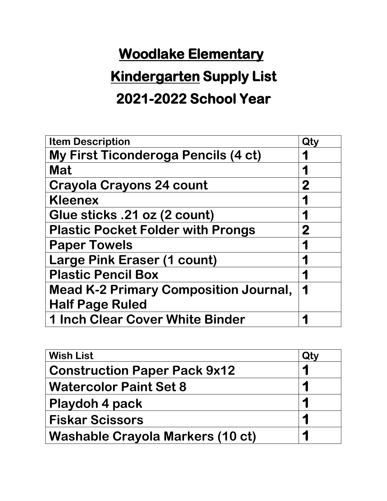# **Kindergarten Supply List**

#### **2021-2022 School Year**

| <b>Item Description</b>                      | Qty      |
|----------------------------------------------|----------|
| <b>My First Ticonderoga Pencils (4 ct)</b>   |          |
| <b>Mat</b>                                   |          |
| <b>Crayola Crayons 24 count</b>              | 2        |
| <b>Kleenex</b>                               |          |
| Glue sticks .21 oz (2 count)                 |          |
| <b>Plastic Pocket Folder with Prongs</b>     | $\bf{2}$ |
| <b>Paper Towels</b>                          |          |
| <b>Large Pink Eraser (1 count)</b>           |          |
| <b>Plastic Pencil Box</b>                    |          |
| <b>Mead K-2 Primary Composition Journal,</b> |          |
| <b>Half Page Ruled</b>                       |          |
| <b>1 Inch Clear Cover White Binder</b>       |          |

| <b>Wish List</b>                        | Qty |
|-----------------------------------------|-----|
| <b>Construction Paper Pack 9x12</b>     |     |
| <b>Watercolor Paint Set 8</b>           |     |
| Playdoh 4 pack                          |     |
| <b>Fiskar Scissors</b>                  |     |
| <b>Washable Crayola Markers (10 ct)</b> |     |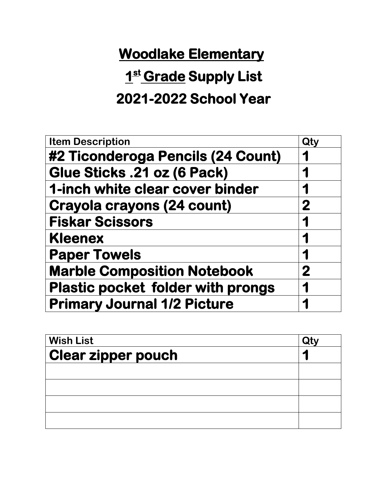## **1 st Grade Supply List**

#### **2021-2022 School Year**

| <b>Item Description</b>                  | Qty          |
|------------------------------------------|--------------|
| #2 Ticonderoga Pencils (24 Count)        | 1            |
| Glue Sticks .21 oz (6 Pack)              |              |
| 1-inch white clear cover binder          | 1            |
| <b>Crayola crayons (24 count)</b>        | $\mathbf{2}$ |
| <b>Fiskar Scissors</b>                   | 1            |
| <b>Kleenex</b>                           |              |
| <b>Paper Towels</b>                      |              |
| <b>Marble Composition Notebook</b>       | $\mathbf{2}$ |
| <b>Plastic pocket folder with prongs</b> |              |
| <b>Primary Journal 1/2 Picture</b>       |              |

| <b>Wish List</b><br><b>Clear zipper pouch</b> |  |
|-----------------------------------------------|--|
|                                               |  |
|                                               |  |
|                                               |  |
|                                               |  |
|                                               |  |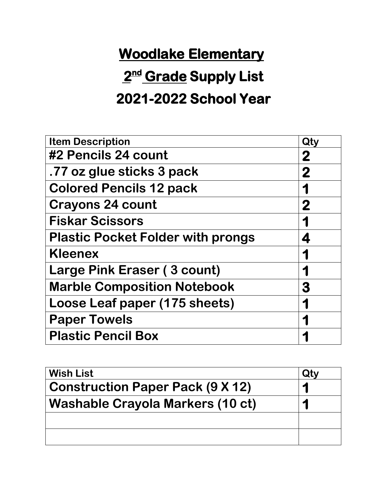# **2 nd Grade Supply List**

### **2021-2022 School Year**

| <b>Item Description</b>                  | Qty      |
|------------------------------------------|----------|
| #2 Pencils 24 count                      | 2        |
| .77 oz glue sticks 3 pack                | $\bf{2}$ |
| <b>Colored Pencils 12 pack</b>           |          |
| <b>Crayons 24 count</b>                  | 2        |
| <b>Fiskar Scissors</b>                   |          |
| <b>Plastic Pocket Folder with prongs</b> |          |
| <b>Kleenex</b>                           |          |
| Large Pink Eraser (3 count)              |          |
| <b>Marble Composition Notebook</b>       | 3        |
| Loose Leaf paper (175 sheets)            |          |
| <b>Paper Towels</b>                      |          |
| <b>Plastic Pencil Box</b>                |          |

| <b>Wish List</b>                        | Qty |
|-----------------------------------------|-----|
| <b>Construction Paper Pack (9 X 12)</b> |     |
| <b>Washable Crayola Markers (10 ct)</b> |     |
|                                         |     |
|                                         |     |